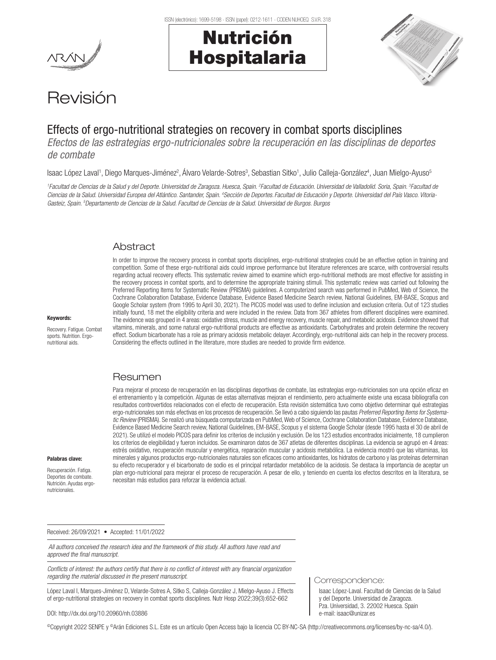# Nutrición Hospitalaria



# Revisión

# Effects of ergo-nutritional strategies on recovery in combat sports disciplines

*Efectos de las estrategias ergo-nutricionales sobre la recuperación en las disciplinas de deportes de combate*

lsaac López Laval1, Diego Marques-Jiménez<sup>2</sup>, Álvaro Velarde-Sotres<sup>3</sup>, Sebastian Sitko1, Julio Calleja-González<sup>4</sup>, Juan Mielgo-Ayuso<sup>5</sup>

<sup>1</sup> Facultad de Ciencias de la Salud y del Deporte. Universidad de Zaragoza. Huesca, Spain. <sup>2</sup> Facultad de Educación. Universidad de Valladolid. Soria, Spain. <sup>3</sup> Facultad de Ciencias de la Salud. Universidad Europea del Atlántico. Santander, Spain. <sup>4</sup>Sección de Deportes. Facultad de Educación y Deporte. Universidad del País Vasco. Vitoria-*Gasteiz, Spain. 5 Departamento de Ciencias de la Salud. Facultad de Ciencias de la Salud. Universidad de Burgos. Burgos*

## Abstract

In order to improve the recovery process in combat sports disciplines, ergo-nutritional strategies could be an effective option in training and competition. Some of these ergo-nutritional aids could improve performance but literature references are scarce, with controversial results regarding actual recovery effects. This systematic review aimed to examine which ergo-nutritional methods are most effective for assisting in the recovery process in combat sports, and to determine the appropriate training stimuli. This systematic review was carried out following the Preferred Reporting Items for Systematic Review (PRISMA) guidelines. A computerized search was performed in PubMed, Web of Science, the Cochrane Collaboration Database, Evidence Database, Evidence Based Medicine Search review, National Guidelines, EM-BASE, Scopus and Google Scholar system (from 1995 to April 30, 2021). The PICOS model was used to define inclusion and exclusion criteria. Out of 123 studies initially found, 18 met the eligibility criteria and were included in the review. Data from 367 athletes from different disciplines were examined. The evidence was grouped in 4 areas: oxidative stress, muscle and energy recovery, muscle repair, and metabolic acidosis. Evidence showed that vitamins, minerals, and some natural ergo-nutritional products are effective as antioxidants. Carbohydrates and protein determine the recovery effect. Sodium bicarbonate has a role as primary acidosis metabolic delayer. Accordingly, ergo-nutritional aids can help in the recovery process. Considering the effects outlined in the literature, more studies are needed to provide firm evidence.

#### Keywords:

Recovery. Fatigue. Combat sports. Nutrition. Ergonutritional aids.

## Resumen

Para mejorar el proceso de recuperación en las disciplinas deportivas de combate, las estrategias ergo-nutricionales son una opción eficaz en el entrenamiento y la competición. Algunas de estas alternativas mejoran el rendimiento, pero actualmente existe una escasa bibliografía con resultados controvertidos relacionados con el efecto de recuperación. Esta revisión sistemática tuvo como objetivo determinar qué estrategias ergo-nutricionales son más efectivas en los procesos de recuperación. Se llevó a cabo siguiendo las pautas *Preferred Reporting Items for Systematic Review* (PRISMA). Se realizó una búsqueda computarizada en PubMed, Web of Science, Cochrane Collaboration Database, Evidence Database, Evidence Based Medicine Search review, National Guidelines, EM-BASE, Scopus y el sistema Google Scholar (desde 1995 hasta el 30 de abril de 2021). Se utilizó el modelo PICOS para definir los criterios de inclusión y exclusión. De los 123 estudios encontrados inicialmente, 18 cumplieron los criterios de elegibilidad y fueron incluidos. Se examinaron datos de 367 atletas de diferentes disciplinas. La evidencia se agrupó en 4 áreas: estrés oxidativo, recuperación muscular y energética, reparación muscular y acidosis metabólica. La evidencia mostró que las vitaminas, los minerales y algunos productos ergo-nutricionales naturales son eficaces como antioxidantes, los hidratos de carbono y las proteínas determinan su efecto recuperador y el bicarbonato de sodio es el principal retardador metabólico de la acidosis. Se destaca la importancia de aceptar un plan ergo-nutricional para mejorar el proceso de recuperación. A pesar de ello, y teniendo en cuenta los efectos descritos en la literatura, se necesitan más estudios para reforzar la evidencia actual.

#### Palabras clave:

Recuperación. Fatiga. Deportes de combate. Nutrición. Ayudas ergonutricionales.

Received: 26/09/2021 • Accepted: 11/01/2022

 *All authors conceived the research idea and the framework of this study. All authors have read and approved the final manuscript.* 

*Conflicts of interest: the authors certify that there is no conflict of interest with any financial organization regarding the material discussed in the present manuscript.*

López Laval I, Marques-Jiménez D, Velarde-Sotres A, Sitko S, Calleja-González J, Mielgo-Ayuso J. Effects of ergo-nutritional strategies on recovery in combat sports disciplines. Nutr Hosp 2022;39(3):652-662

#### DOI: http://dx.doi.org/10.20960/nh.03886

©Copyright 2022 SENPE y ©Arán Ediciones S.L. Este es un artículo Open Access bajo la licencia CC BY-NC-SA (http://creativecommons.org/licenses/by-nc-sa/4.0/).

Correspondence:

Isaac López-Laval. Facultad de Ciencias de la Salud y del Deporte. Universidad de Zaragoza. Pza. Universidad, 3. 22002 Huesca. Spain e-mail: isaac@unizar.es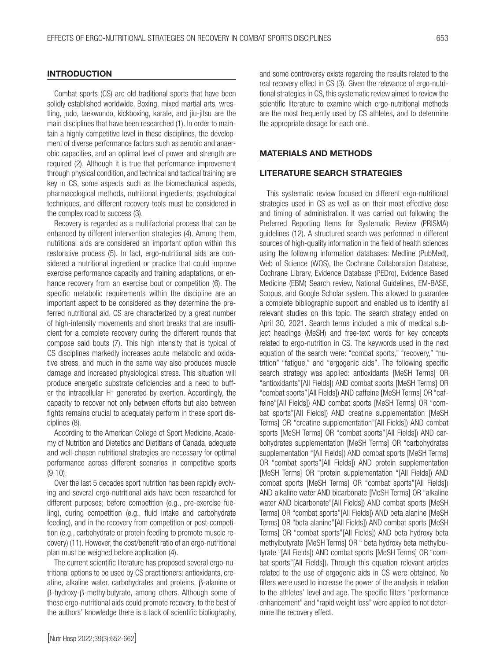#### **INTRODUCTION**

Combat sports (CS) are old traditional sports that have been solidly established worldwide. Boxing, mixed martial arts, wrestling, judo, taekwondo, kickboxing, karate, and jiu-jitsu are the main disciplines that have been researched (1). In order to maintain a highly competitive level in these disciplines, the development of diverse performance factors such as aerobic and anaerobic capacities, and an optimal level of power and strength are required (2). Although it is true that performance improvement through physical condition, and technical and tactical training are key in CS, some aspects such as the biomechanical aspects, pharmacological methods, nutritional ingredients, psychological techniques, and different recovery tools must be considered in the complex road to success (3).

Recovery is regarded as a multifactorial process that can be enhanced by different intervention strategies (4). Among them, nutritional aids are considered an important option within this restorative process (5). In fact, ergo-nutritional aids are considered a nutritional ingredient or practice that could improve exercise performance capacity and training adaptations, or enhance recovery from an exercise bout or competition (6). The specific metabolic requirements within the discipline are an important aspect to be considered as they determine the preferred nutritional aid. CS are characterized by a great number of high-intensity movements and short breaks that are insufficient for a complete recovery during the different rounds that compose said bouts (7). This high intensity that is typical of CS disciplines markedly increases acute metabolic and oxidative stress, and much in the same way also produces muscle damage and increased physiological stress. This situation will produce energetic substrate deficiencies and a need to buffer the intracellular H<sup>+</sup> generated by exertion. Accordingly, the capacity to recover not only between efforts but also between fights remains crucial to adequately perform in these sport disciplines (8).

According to the American College of Sport Medicine, Academy of Nutrition and Dietetics and Dietitians of Canada, adequate and well-chosen nutritional strategies are necessary for optimal performance across different scenarios in competitive sports (9,10).

Over the last 5 decades sport nutrition has been rapidly evolving and several ergo-nutritional aids have been researched for different purposes; before competition (e.g., pre-exercise fueling), during competition (e.g., fluid intake and carbohydrate feeding), and in the recovery from competition or post-competition (e.g., carbohydrate or protein feeding to promote muscle recovery) (11). However, the cost/benefit ratio of an ergo-nutritional plan must be weighed before application (4).

The current scientific literature has proposed several ergo-nutritional options to be used by CS practitioners: antioxidants, creatine, alkaline water, carbohydrates and proteins, β-alanine or β-hydroxy-β-methylbutyrate, among others. Although some of these ergo-nutritional aids could promote recovery, to the best of the authors' knowledge there is a lack of scientific bibliography,

[Nutr Hosp 2022;39(3):652-662]

and some controversy exists regarding the results related to the real recovery effect in CS (3). Given the relevance of ergo-nutritional strategies in CS, this systematic review aimed to review the scientific literature to examine which ergo-nutritional methods are the most frequently used by CS athletes, and to determine the appropriate dosage for each one.

#### MATERIALS AND METHODS

#### LITERATURE SEARCH STRATEGIES

This systematic review focused on different ergo-nutritional strategies used in CS as well as on their most effective dose and timing of administration. It was carried out following the Preferred Reporting Items for Systematic Review (PRISMA) guidelines (12). A structured search was performed in different sources of high-quality information in the field of health sciences using the following information databases: Medline (PubMed), Web of Science (WOS), the Cochrane Collaboration Database, Cochrane Library, Evidence Database (PEDro), Evidence Based Medicine (EBM) Search review, National Guidelines, EM-BASE, Scopus, and Google Scholar system. This allowed to guarantee a complete bibliographic support and enabled us to identify all relevant studies on this topic. The search strategy ended on April 30, 2021. Search terms included a mix of medical subject headings (MeSH) and free-text words for key concepts related to ergo-nutrition in CS. The keywords used in the next equation of the search were: "combat sports," "recovery," "nutrition" "fatigue," and "ergogenic aids". The following specific search strategy was applied: antioxidants [MeSH Terms] OR "antioxidants"[All Fields]) AND combat sports [MeSH Terms] OR "combat sports"[All Fields]) AND caffeine [MeSH Terms] OR "caffeine"[All Fields]) AND combat sports [MeSH Terms] OR "combat sports"[All Fields]) AND creatine supplementation [MeSH Terms] OR "creatine supplementation"[All Fields]) AND combat sports [MeSH Terms] OR "combat sports"[All Fields]) AND carbohydrates supplementation [MeSH Terms] OR "carbohydrates supplementation "[All Fields]) AND combat sports [MeSH Terms] OR "combat sports"[All Fields]) AND protein supplementation [MeSH Terms] OR "protein supplementation "[All Fields]) AND combat sports [MeSH Terms] OR "combat sports"[All Fields]) AND alkaline water AND bicarbonate [MeSH Terms] OR "alkaline water AND bicarbonate"[All Fields]) AND combat sports [MeSH Terms] OR "combat sports"[All Fields]) AND beta alanine [MeSH Terms] OR "beta alanine"[All Fields]) AND combat sports [MeSH Terms] OR "combat sports"[All Fields]) AND beta hydroxy beta methylbutyrate [MeSH Terms] OR " beta hydroxy beta methylbutyrate "[All Fields]) AND combat sports [MeSH Terms] OR "combat sports"[All Fields]). Through this equation relevant articles related to the use of ergogenic aids in CS were obtained. No filters were used to increase the power of the analysis in relation to the athletes' level and age. The specific filters "performance enhancement" and "rapid weight loss" were applied to not determine the recovery effect.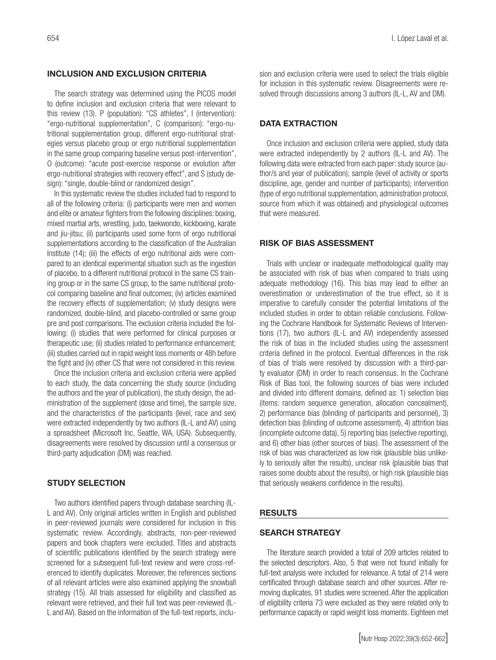#### INCLUSION AND EXCLUSION CRITERIA

The search strategy was determined using the PICOS model to define inclusion and exclusion criteria that were relevant to this review (13). P (population): "CS athletes", I (intervention): "ergo-nutritional supplementation", C (comparison): "ergo-nutritional supplementation group, different ergo-nutritional strategies versus placebo group or ergo nutritional supplementation in the same group comparing baseline versus post-intervention", O (outcome): "acute post-exercise response or evolution after ergo-nutritional strategies with recovery effect", and S (study design): "single, double-blind or randomized design".

In this systematic review the studies included had to respond to all of the following criteria: (i) participants were men and women and elite or amateur fighters from the following disciplines: boxing, mixed martial arts, wrestling, judo, taekwondo, kickboxing, karate and jiu-jitsu; (ii) participants used some form of ergo nutritional supplementations according to the classification of the Australian Institute (14); (iii) the effects of ergo nutritional aids were compared to an identical experimental situation such as the ingestion of placebo, to a different nutritional protocol in the same CS training group or in the same CS group, to the same nutritional protocol comparing baseline and final outcomes; (iv) articles examined the recovery effects of supplementation; (v) study designs were randomized, double-blind, and placebo-controlled or same group pre and post comparisons. The exclusion criteria included the following: (i) studies that were performed for clinical purposes or therapeutic use; (ii) studies related to performance enhancement; (iii) studies carried out in rapid weight loss moments or 48h before the fight and (iv) other CS that were not considered in this review.

Once the inclusion criteria and exclusion criteria were applied to each study, the data concerning the study source (including the authors and the year of publication), the study design, the administration of the supplement (dose and time), the sample size, and the characteristics of the participants (level, race and sex) were extracted independently by two authors (IL-L and AV) using a spreadsheet (Microsoft Inc, Seattle, WA, USA). Subsequently, disagreements were resolved by discussion until a consensus or third-party adjudication (DM) was reached.

## STUDY SELECTION

Two authors identified papers through database searching (IL-L and AV). Only original articles written in English and published in peer-reviewed journals were considered for inclusion in this systematic review. Accordingly, abstracts, non-peer-reviewed papers and book chapters were excluded. Titles and abstracts of scientific publications identified by the search strategy were screened for a subsequent full-text review and were cross-referenced to identify duplicates. Moreover, the references sections of all relevant articles were also examined applying the snowball strategy (15). All trials assessed for eligibility and classified as relevant were retrieved, and their full text was peer-reviewed (IL-L and AV). Based on the information of the full-text reports, inclusion and exclusion criteria were used to select the trials eligible for inclusion in this systematic review. Disagreements were resolved through discussions among 3 authors (IL-L, AV and DM).

#### DATA EXTRACTION

Once inclusion and exclusion criteria were applied, study data were extracted independently by 2 authors (IL-L and AV). The following data were extracted from each paper: study source (author/s and year of publication); sample (level of activity or sports discipline, age, gender and number of participants); intervention (type of ergo nutritional supplementation, administration protocol, source from which it was obtained) and physiological outcomes that were measured.

## RISK OF BIAS ASSESSMENT

Trials with unclear or inadequate methodological quality may be associated with risk of bias when compared to trials using adequate methodology (16). This bias may lead to either an overestimation or underestimation of the true effect, so it is imperative to carefully consider the potential limitations of the included studies in order to obtain reliable conclusions. Following the Cochrane Handbook for Systematic Reviews of Interventions (17), two authors (IL-L and AV) independently assessed the risk of bias in the included studies using the assessment criteria defined in the protocol. Eventual differences in the risk of bias of trials were resolved by discussion with a third-party evaluator (DM) in order to reach consensus. In the Cochrane Risk of Bias tool, the following sources of bias were included and divided into different domains, defined as: 1) selection bias (items: random sequence generation, allocation concealment), 2) performance bias (blinding of participants and personnel), 3) detection bias (blinding of outcome assessment), 4) attrition bias (incomplete outcome data), 5) reporting bias (selective reporting), and 6) other bias (other sources of bias). The assessment of the risk of bias was characterized as low risk (plausible bias unlikely to seriously alter the results), unclear risk (plausible bias that raises some doubts about the results), or high risk (plausible bias that seriously weakens confidence in the results).

#### RESULTS

### SEARCH STRATEGY

The literature search provided a total of 209 articles related to the selected descriptors. Also, 5 that were not found initially for full-text analysis were included for relevance. A total of 214 were certificated through database search and other sources. After removing duplicates, 91 studies were screened. After the application of eligibility criteria 73 were excluded as they were related only to performance capacity or rapid weight loss moments. Eighteen met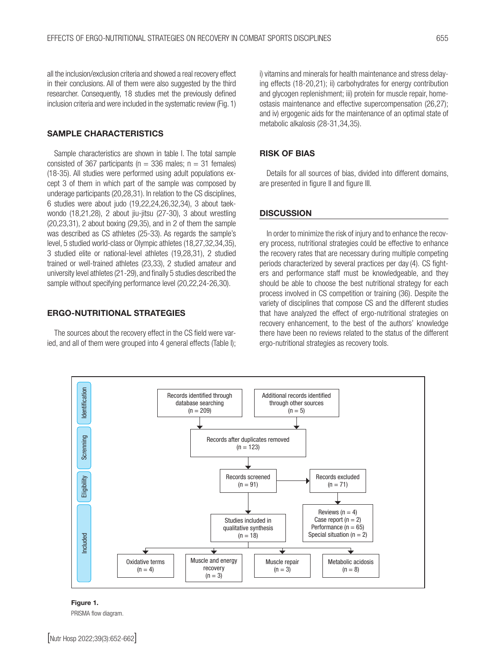all the inclusion/exclusion criteria and showed a real recovery effect in their conclusions. All of them were also suggested by the third researcher. Consequently, 18 studies met the previously defined inclusion criteria and were included in the systematic review (Fig. 1)

### SAMPLE CHARACTERISTICS

Sample characteristics are shown in table I. The total sample consisted of 367 participants ( $n = 336$  males;  $n = 31$  females) (18-35). All studies were performed using adult populations except 3 of them in which part of the sample was composed by underage participants (20,28,31). In relation to the CS disciplines, 6 studies were about judo (19,22,24,26,32,34), 3 about taekwondo (18,21,28), 2 about jiu-jitsu (27-30), 3 about wrestling (20,23,31), 2 about boxing (29,35), and in 2 of them the sample was described as CS athletes (25-33). As regards the sample's level, 5 studied world-class or Olympic athletes (18,27,32,34,35), 3 studied elite or national-level athletes (19,28,31), 2 studied trained or well-trained athletes (23,33), 2 studied amateur and university level athletes (21-29), and finally 5 studies described the sample without specifying performance level (20,22,24-26,30).

#### ERGO-NUTRITIONAL STRATEGIES

The sources about the recovery effect in the CS field were varied, and all of them were grouped into 4 general effects (Table I); i) vitamins and minerals for health maintenance and stress delaying effects (18-20,21); ii) carbohydrates for energy contribution and glycogen replenishment; iii) protein for muscle repair, homeostasis maintenance and effective supercompensation (26,27); and iv) ergogenic aids for the maintenance of an optimal state of metabolic alkalosis (28-31,34,35).

#### RISK OF BIAS

Details for all sources of bias, divided into different domains, are presented in figure II and figure III.

#### **DISCUSSION**

In order to minimize the risk of injury and to enhance the recovery process, nutritional strategies could be effective to enhance the recovery rates that are necessary during multiple competing periods characterized by several practices per day(4). CS fighters and performance staff must be knowledgeable, and they should be able to choose the best nutritional strategy for each process involved in CS competition or training (36). Despite the variety of disciplines that compose CS and the different studies that have analyzed the effect of ergo-nutritional strategies on recovery enhancement, to the best of the authors' knowledge there have been no reviews related to the status of the different ergo-nutritional strategies as recovery tools.



Figure 1. PRISMA flow diagram.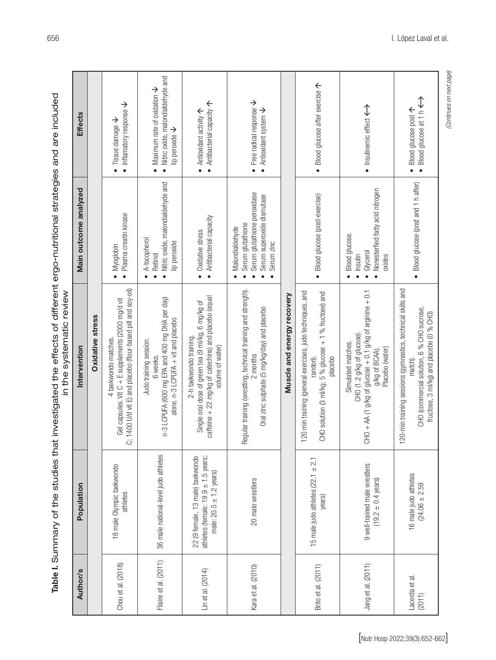| Author/s                 | Population                                                                                                 | Intervention                                                                                                                                                     | Main outcome analyzed                                                                                                         | <b>Effects</b>                                                                                                               |
|--------------------------|------------------------------------------------------------------------------------------------------------|------------------------------------------------------------------------------------------------------------------------------------------------------------------|-------------------------------------------------------------------------------------------------------------------------------|------------------------------------------------------------------------------------------------------------------------------|
|                          |                                                                                                            | <b>Oxidative stress</b>                                                                                                                                          |                                                                                                                               |                                                                                                                              |
| Chou et al. (2018)       | 18 male Olympic taekwondo<br>athletes                                                                      | C; 1400 U/d vit E) and placebo (flour-based pill and soy-oil)<br>Gel capsules. Vit C + E supplements (2000 mg/d vit<br>4 taekwondo matches.                      | Plasma creatin kinase<br>Myoglobin<br>$\bullet$                                                                               | $\bullet$ Inflamatory response $\bm{\downarrow}$<br>Tissue damage $\boldsymbol{\downarrow}$                                  |
| Filaire et al. (2011)    | 36 male national-level judo athletes                                                                       | n-3 LCPUFA (600 mg EPA and 400 mg DHA per day)<br>alone. n-3 LCPUFA + vit and placebo<br>Judo training session.<br>6 weeks.                                      | Nitric oxide, malondialdehyde and<br>A-tocopherol<br>lip peroxide<br>Retinol<br>$\bullet$<br>$\bullet$                        | • Nitric oxide, malondialdehyde and<br>Maximum rate of oxidation $\bm{\downarrow}$<br>lip peroxide $\boldsymbol{\downarrow}$ |
| Lin et al. (2014)        | 22 (9 female, 13 male) taekwondo<br>athletes (female: $19.9 \pm 1.5$ years;<br>male: $20.5 \pm 1.2$ years) | caffeine + 22 mg/kg of catechins) and placebo (equal<br>Single oral dose of green tea (9 ml/kg, 6 mg/kg of<br>2-h taekwondo training.<br>volume of water)        | Antibacterial capacity<br>• Oxidative stress                                                                                  | • Antibacterial capacity $\uparrow$<br>• Antioxidant activity 个                                                              |
| Kara et al. (2010)       | 20 male wrestlers                                                                                          | Regular training (wrestling, technical training and strength).<br>Oral zinc sulphate (5 mg/kg/day) and placebo<br>2 months                                       | Serum glutathione peroxidase<br>Serum superoxide dismutase<br>Serum glutathione<br>Malondialdehyde<br>Serum zinc<br>$\bullet$ | $\bullet$ Free radical response $\mathsf{\Psi}$<br>$\bullet$ Antioxidant system $\mathsf{\Psi}$                              |
|                          |                                                                                                            | Muscle and energy recovery                                                                                                                                       |                                                                                                                               |                                                                                                                              |
| Brito et al. (2011)      | 15 male judo athletes $(22.1 \pm 2.1)$<br>years)                                                           | 120 min training (general exercises, judo techniques, and<br>CHO solution (3 ml/kg; 5 % glucose + 1 % fructose) and<br>placebo<br>randori).                      | • Blood glucose (post-exercise)                                                                                               | • Blood glucose after exercise 个                                                                                             |
| Jang et al. (2011)       | 9 well-trained male wrestlers<br>$(19.2 \pm 0.4 \text{ years})$                                            | CHO + AA (1 g/kg of glucose + 0.1 g/kg of arginine + 0.1<br>CHO (1.2 g/kg of glucose)<br>Simulated matches.<br>Placebo (water)<br>g/kg of BCAA).                 | Nonesterfied fatty acid nitrogen<br>Blood glucose.<br>Glycerol<br>Insulin<br>oxides<br>$\bullet$<br>$\bullet$                 | $\bullet$ Insulinemic effect $\leftarrow \rightarrow$                                                                        |
| Lacerda et al.<br>(2011) | 16 male judo athletes<br>$(24.06 \pm 2.59)$                                                                | 120-min training sessions (gymnastics, technical skills and<br>CHO (commercial solution, 6 % CHO sucrose,<br>fructose, 3 ml/kg) and placebo (0 % CHO)<br>match). | • Blood glucose (post and 1 h after)                                                                                          | Blood glucose at 1 h $\leftrightarrow$<br>$\bullet$ Blood glucose post $\uparrow$<br>$\bullet$                               |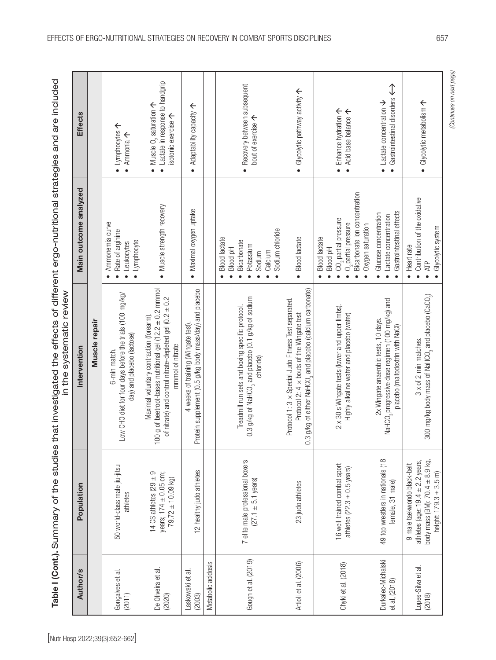|                                                                                                                                                             | <b>Effects</b>        |               | $\bullet$ Lymphocytes $\uparrow$<br>• Ammonia $\uparrow$                                               | • Lactate in response to handgrip<br>Muscle $0_2$ saturation $\uparrow$<br>isotonic exercise 个<br>$\bullet$                                                                                    | • Adaptability capacity $\uparrow$                                                             |                    | • Recovery between subsequent<br>bout of exercise $\uparrow$                                                                    | • Glycolytic pathway activity 个                                                                                                                                                   | $\bullet$ Enhance hydration $\uparrow$<br>• Acid base balance 个                                                                                        | $\updownarrow$<br>Gastrointestinal disorders<br>$\bullet$ Lactate concentration $\bigtriangledown$<br>$\bullet$                         | • Glycolytic metabolism 个                                                                                                               |
|-------------------------------------------------------------------------------------------------------------------------------------------------------------|-----------------------|---------------|--------------------------------------------------------------------------------------------------------|------------------------------------------------------------------------------------------------------------------------------------------------------------------------------------------------|------------------------------------------------------------------------------------------------|--------------------|---------------------------------------------------------------------------------------------------------------------------------|-----------------------------------------------------------------------------------------------------------------------------------------------------------------------------------|--------------------------------------------------------------------------------------------------------------------------------------------------------|-----------------------------------------------------------------------------------------------------------------------------------------|-----------------------------------------------------------------------------------------------------------------------------------------|
|                                                                                                                                                             | Main outcome analyzed |               | Ammonemia curve<br>Rate of arginine<br>Lymphocyte<br>Leukocytes                                        | • Muscle strength recovery                                                                                                                                                                     | Maximal oxygen uptake<br>$\bullet$                                                             |                    | Sodium chloride<br><b>Blood</b> lactate<br>Bicarbonate<br>Potassium<br>Blood pH<br>Calcium<br>Sodium<br>$\bullet$               | <b>Blood</b> lactate<br>$\bullet$                                                                                                                                                 | Bicarbonate ion concentration<br>$CO2$ partial pressure<br>$02$ partial pressure<br>Oxygen saturation<br><b>Blood</b> lactate<br>Blood pH<br>$\bullet$ | Gastrointestinal effects<br>Glucose concentration<br>Lactate concentration<br>$\bullet$                                                 | Contribution of the oxidative<br>Glycolytic system<br>Heart rate<br>ATP<br>$\bullet$                                                    |
| Table I (Cont.). Summary of the studies that investigated the effects of different ergo-nutritional strategies and are included<br>in the systematic review | Intervention          | Muscle repair | Low CHO diet for four days before the trials (100 mg/kg/<br>day) and placebo (lactose)<br>6-min match. | 100 g of beetroot-bases nutritional gel (12.2 $\pm$ 0.2 mmmol<br>of nitrate) and control nitrate-depleted gel ( $0.2 \pm 0.2$ )<br>Maximal voluntary contraction (forearm)<br>mmmol of nitrate | Protein supplement (0.5 g/kg body mass/day) and placebo<br>4 weeks of training (Wingate test). |                    | 0.3 g/kg of NaHCO <sub>3</sub> and placebo (0.1 g/kg of sodium<br>Treadmill run sets and boxing specific protocol.<br>chloride) | 0.3 g/kg of either NaHCO <sub>3</sub> and placebo (calcium carbonate)<br>Protocol 1: 3 x Special Judo Fitness Test separated.<br>Protocol 2: $4 \times$ bouts of the Wingate test | 2 x 30 s Wingate tests (lower and upper limbs).<br>Highly alkaline water and placebo (water)                                                           | NaHCO <sub>3</sub> progressive dose regimen (100 mg/kg) and<br>2x Wingate anaerobic tests, 10 days.<br>placebo (maltodextrin with NaCl) | 300 mg/kg body mass of NaHCO <sub>3</sub> and placebo (CaCO <sub>3</sub> )<br>3 x of 2 min matches.                                     |
|                                                                                                                                                             | Population            |               | 50 world-class male jiu-jitsu<br>athletes                                                              | 14 CS athletes $(29 \pm 9)$<br>years; $174 \pm 0.05$ cm;<br>$79.72 \pm 10.09$ kg)                                                                                                              | 12 healthy judo athletes                                                                       |                    | 7 elite male professional boxers<br>$(27.1 \pm 5.1 \text{ years})$                                                              | 23 judo athletes                                                                                                                                                                  | 16 well-trained combat sport<br>athletes ( $22.3 \pm 0.5$ years)                                                                                       | 49 top wrestlers in nationals (18<br>female, 31 male)                                                                                   | body mass (BM): $70.4 \pm 8.9$ kg,<br>athletes (age: $19.4 \pm 2.2$ years,<br>9 male taekwondo black-belt<br>height: $179.3 \pm 3.5$ m) |
|                                                                                                                                                             | <b>Author/s</b>       |               | Gonçalves et al.<br>(2011)                                                                             | De Oliveira et al.<br>(2020)                                                                                                                                                                   | Laskowski et al.<br>(2003)                                                                     | Metabolic acidosis | Gough et al. (2019)                                                                                                             | Artioli et al. (2006)                                                                                                                                                             | Chyki et al. (2018)                                                                                                                                    | Durkalec-Michalski<br>et al, (2018)                                                                                                     | Lopes-Silva et al.<br>(2018)                                                                                                            |

(Continues on next page) *(Continues on next page)*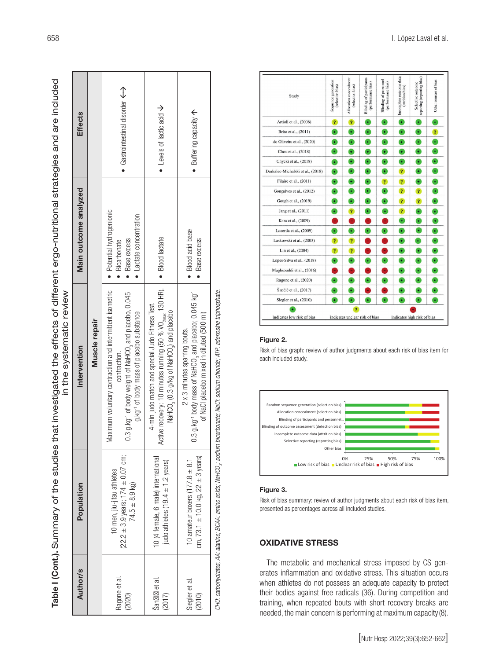Table I (Cont.). Summary of the studies that investigated the effects of different ergo-nutritional strategies and are included Table I (Cont.). Summary of the studies that investigated the effects of different ergo-nutritional strategies and are included in the systematic review in the systematic review

| <b>Effects</b><br>Main outcome analyzed |               | • Gastrointestinal disorder $\leftrightarrow$<br>· Potential hydrogenionic<br>· Lactate concentration                                                                                                  | $\bullet$ Levels of lactic acid $\mathbf \Psi$                                                                                                                                    | • Buffering capacity 个                                                                                                                                                   |                                                                                                                                     |
|-----------------------------------------|---------------|--------------------------------------------------------------------------------------------------------------------------------------------------------------------------------------------------------|-----------------------------------------------------------------------------------------------------------------------------------------------------------------------------------|--------------------------------------------------------------------------------------------------------------------------------------------------------------------------|-------------------------------------------------------------------------------------------------------------------------------------|
|                                         |               | Base excess<br>Bicarbonate                                                                                                                                                                             | • Blood lactate                                                                                                                                                                   | Blood acid base<br>Base excess                                                                                                                                           |                                                                                                                                     |
| Intervention                            | Muscle repair | Maximum voluntary contraction and intermittent isometric<br>0.3 g.kg <sup>-1</sup> of body weight of NaHCO, and placebo, 0.045<br>g.kg <sup>-1</sup> of body mass of placebo substance<br>contraction. | Active recovery: 10 minutes running (50 % VO, set 130 HR).<br>4-min judo match and special Judo Fitness Test.<br>NaHCO <sub>3</sub> (0.3 g/kg of NaHCO <sub>3</sub> ) and placebo | 0.3 g.kg <sup>-1</sup> body mass of NaHCO <sub>3</sub> and placebo; 0.045 kg <sup>-1</sup><br>of NaCl placebo mixed in diluted (500 ml)<br>2 x 3 minutes sparring bouts. | CHO: carbohydrates; AA: alanine; BCAA: amino acids; NaHCO.; sodium bicarbonate; NaCl: sodium chloride; ATP: adenosine triphosphate. |
| Population                              |               | $(22.2 \pm 3.9 \text{ years}, 174 \pm 0.07 \text{ cm})$<br>10 men, jiu-jitsu athletes<br>$74.5 \pm 8.9$ kg)                                                                                            | 10 (4 female, 6 male) international<br>judo athletes $(19.4 \pm 1.2$ years)                                                                                                       | cm, 73.1 $\pm$ 10.0 kg, 22 $\pm$ 3 years)<br>10 amateur boxers (177.8 $\pm$ 8.1                                                                                          |                                                                                                                                     |
| <b>Author/s</b>                         |               | Ragone et al.<br>(2020)                                                                                                                                                                                | San i et al.<br>(2017)                                                                                                                                                            | Siegler et al.<br>(2010)                                                                                                                                                 |                                                                                                                                     |

| Study                             | Sequence generation<br>(selection bias) | Allocation concealment<br>(selection bias) | <b>Blinding of participants</b><br>(performance bias) | <b>Blinding of personnel</b><br>(performance bias) | Incomplete outcome data<br>(attrition bias) | reporting (reporting bias)<br>Selective outcome | Other sources of bias   |
|-----------------------------------|-----------------------------------------|--------------------------------------------|-------------------------------------------------------|----------------------------------------------------|---------------------------------------------|-------------------------------------------------|-------------------------|
| Artioli et al., (2006)            | $\overline{\mathbf{r}}$                 | $\overline{?}$                             | ٠                                                     | $\color{red}+$                                     | G                                           | $\bullet$                                       | Ŧ                       |
| Brito et al., (2011)              | Ŧ                                       | ٠                                          | ¥                                                     | $\bullet$                                          | ٠                                           | $\ddot{}$                                       | $\overline{\mathbf{?}}$ |
| de Oliveira et al., (2020)        | $\bullet$                               | ٠                                          | ¥                                                     | ٠                                                  | $\bullet$                                   | ¥                                               | $\bullet$               |
| Chou et al., (2018)               | $\bullet$                               | $\bullet$                                  | ÷                                                     | ¥                                                  | Đ                                           | ¥                                               | Ŧ                       |
| Chycki et al., (2018)             | Ŧ                                       | $\bullet$                                  | ÷                                                     | $\bullet$                                          | $\leftarrow$                                | ٠                                               | $\bullet$               |
| Durkalec-Michalski et al., (2018) | $\bullet$                               | $\bullet$                                  | ٠                                                     | $\bullet$                                          | $\overline{r}$                              | ٠                                               |                         |
| Filaire et al., (2011)            | Ŧ                                       | $\bullet$                                  | ¥                                                     | s,                                                 | ?                                           | ٠                                               | Ŧ                       |
| Gonçalves et al., (2012)          | ¥                                       | $\ddot{\phantom{1}}$                       | $\ddot{}$                                             | ٠                                                  | Ŧ.                                          | Ŧ,                                              | Ŧ                       |
| Gough et al., (2019)              | ¥                                       | $\ddot{\phantom{1}}$                       | ٠                                                     | ٠                                                  | ?                                           | s.                                              | Ŧ                       |
| Jang et al., (2011)               | ÷                                       | $\overline{r}$                             | ٠                                                     | ÷                                                  | $\overline{?}$                              | $\ddot{}$                                       | Ŧ                       |
| Kara et al., (2009)               |                                         | ٠                                          |                                                       |                                                    | $\bullet$                                   | ¥                                               | Ŧ                       |
| Lacerda et al., (2009)            | Ŧ                                       | Ŧ                                          | ¥                                                     | ÷                                                  | $\bullet$                                   | $\bullet$                                       | Ŧ                       |
| Laskowski et al., (2003)          | Ŧ.                                      | Ŧ.                                         |                                                       |                                                    | $\color{red}+$                              | $\bullet$                                       | Ŧ                       |
| Lin et al., (2004)                | Ŧ.                                      | Ŧ.                                         |                                                       |                                                    | $\color{red}+$                              | ٠                                               | Ŧ                       |
| Lopes-Silva et al., (2018)        | ¥                                       | $\bullet$                                  |                                                       | $\bullet$                                          | $\ddot{}$                                   | ٠                                               | Ŧ                       |
| Maghsouddi et al., (2016)         |                                         |                                            |                                                       |                                                    | $\ddot{\phantom{1}}$                        | $\bullet$                                       | Ŧ                       |
| Ragone et al., (2020)             | ¥                                       | ×                                          | ¥                                                     | ٠                                                  | $\bullet$                                   | $\bullet$                                       | Ŧ                       |
| Šančić et al., (2017)             | ¥                                       | ٠                                          |                                                       |                                                    | $\ddot{\phantom{1}}$                        | ٠                                               | Ŧ                       |
| Siegler et al., (2010)            | Ŧ                                       | Ŧ                                          | Ŧ                                                     | Ŧ                                                  | Ŧ                                           | Ŧ                                               | ¥                       |
| indicates low risk of bias        |                                         | ż<br>indicates unclear risk of bias        |                                                       |                                                    | indicates high risk of bias                 |                                                 |                         |

#### Figure 2.

Risk of bias graph: review of author judgments about each risk of bias item for each included study.



#### Figure 3.

Risk of bias summary: review of author judgments about each risk of bias item, presented as percentages across all included studies.

## OXIDATIVE STRESS

The metabolic and mechanical stress imposed by CS gen erates inflammation and oxidative stress. This situation occurs when athletes do not possess an adequate capacity to protect their bodies against free radicals (36). During competition and training, when repeated bouts with short recovery breaks are needed, the main concern is performing at maximum capacity(8).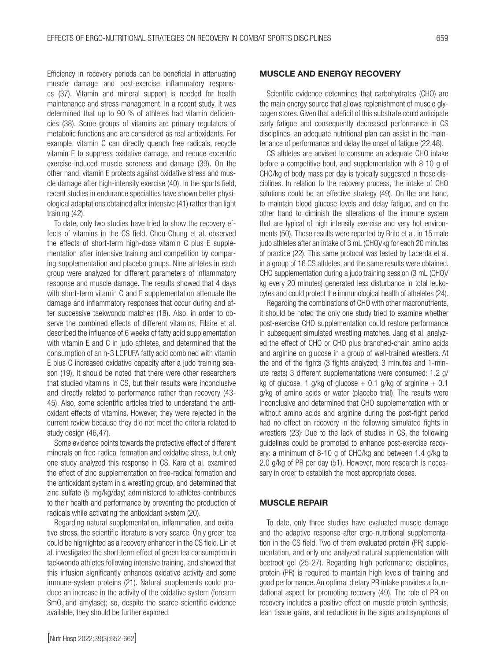Efficiency in recovery periods can be beneficial in attenuating muscle damage and post-exercise inflammatory responses (37). Vitamin and mineral support is needed for health maintenance and stress management. In a recent study, it was determined that up to 90 % of athletes had vitamin deficiencies (38). Some groups of vitamins are primary regulators of metabolic functions and are considered as real antioxidants. For example, vitamin C can directly quench free radicals, recycle vitamin E to suppress oxidative damage, and reduce eccentric exercise-induced muscle soreness and damage (39). On the other hand, vitamin E protects against oxidative stress and muscle damage after high-intensity exercise (40). In the sports field, recent studies in endurance specialties have shown better physiological adaptations obtained after intensive (41) rather than light training (42).

To date, only two studies have tried to show the recovery effects of vitamins in the CS field. Chou-Chung et al. observed the effects of short-term high-dose vitamin C plus E supplementation after intensive training and competition by comparing supplementation and placebo groups. Nine athletes in each group were analyzed for different parameters of inflammatory response and muscle damage. The results showed that 4 days with short-term vitamin C and E supplementation attenuate the damage and inflammatory responses that occur during and after successive taekwondo matches (18). Also, in order to observe the combined effects of different vitamins, Filaire et al. described the influence of 6 weeks of fatty acid supplementation with vitamin E and C in judo athletes, and determined that the consumption of an n-3 LCPUFA fatty acid combined with vitamin E plus C increased oxidative capacity after a judo training season (19). It should be noted that there were other researchers that studied vitamins in CS, but their results were inconclusive and directly related to performance rather than recovery (43- 45). Also, some scientific articles tried to understand the antioxidant effects of vitamins. However, they were rejected in the current review because they did not meet the criteria related to study design (46,47).

Some evidence points towards the protective effect of different minerals on free-radical formation and oxidative stress, but only one study analyzed this response in CS. Kara et al. examined the effect of zinc supplementation on free-radical formation and the antioxidant system in a wrestling group, and determined that zinc sulfate (5 mg/kg/day) administered to athletes contributes to their health and performance by preventing the production of radicals while activating the antioxidant system (20).

Regarding natural supplementation, inflammation, and oxidative stress, the scientific literature is very scarce. Only green tea could be highlighted as a recovery enhancer in the CS field. Lin et al. investigated the short-term effect of green tea consumption in taekwondo athletes following intensive training, and showed that this infusion significantly enhances oxidative activity and some immune-system proteins (21). Natural supplements could produce an increase in the activity of the oxidative system (forearm SmO<sub>2</sub> and amylase); so, despite the scarce scientific evidence available, they should be further explored.

#### MUSCLE AND ENERGY RECOVERY

Scientific evidence determines that carbohydrates (CHO) are the main energy source that allows replenishment of muscle glycogen stores. Given that a deficit of this substrate could anticipate early fatigue and consequently decreased performance in CS disciplines, an adequate nutritional plan can assist in the maintenance of performance and delay the onset of fatigue (22,48).

CS athletes are advised to consume an adequate CHO intake before a competitive bout, and supplementation with 8-10 g of CHO/kg of body mass per day is typically suggested in these disciplines. In relation to the recovery process, the intake of CHO solutions could be an effective strategy (49). On the one hand, to maintain blood glucose levels and delay fatigue, and on the other hand to diminish the alterations of the immune system that are typical of high intensity exercise and very hot environments (50). Those results were reported by Brito et al. in 15 male judo athletes after an intake of 3 mL (CHO)/kg for each 20 minutes of practice (22). This same protocol was tested by Lacerda et al. in a group of 16 CS athletes, and the same results were obtained. CHO supplementation during a judo training session (3 mL (CHO)/ kg every 20 minutes) generated less disturbance in total leukocytes and could protect the immunological health of atheletes (24).

Regarding the combinations of CHO with other macronutrients, it should be noted the only one study tried to examine whether post-exercise CHO supplementation could restore performance in subsequent simulated wrestling matches. Jang et al. analyzed the effect of CHO or CHO plus branched-chain amino acids and arginine on glucose in a group of well-trained wrestlers. At the end of the fights (3 fights analyzed; 3 minutes and 1-minute rests) 3 different supplementations were consumed: 1.2 g/ kg of glucose, 1 g/kg of glucose  $+$  0.1 g/kg of arginine  $+$  0.1 g/kg of amino acids or water (placebo trial). The results were inconclusive and determined that CHO supplementation with or without amino acids and arginine during the post-fight period had no effect on recovery in the following simulated fights in wrestlers (23) Due to the lack of studies in CS, the following guidelines could be promoted to enhance post-exercise recovery: a minimum of 8-10 g of CHO/kg and between 1.4 g/kg to 2.0 g/kg of PR per day (51). However, more research is necessary in order to establish the most appropriate doses.

#### MUSCLE REPAIR

To date, only three studies have evaluated muscle damage and the adaptive response after ergo-nutritional supplementation in the CS field. Two of them evaluated protein (PR) supplementation, and only one analyzed natural supplementation with beetroot gel (25-27). Regarding high performance disciplines, protein (PR) is required to maintain high levels of training and good performance. An optimal dietary PR intake provides a foundational aspect for promoting recovery (49). The role of PR on recovery includes a positive effect on muscle protein synthesis, lean tissue gains, and reductions in the signs and symptoms of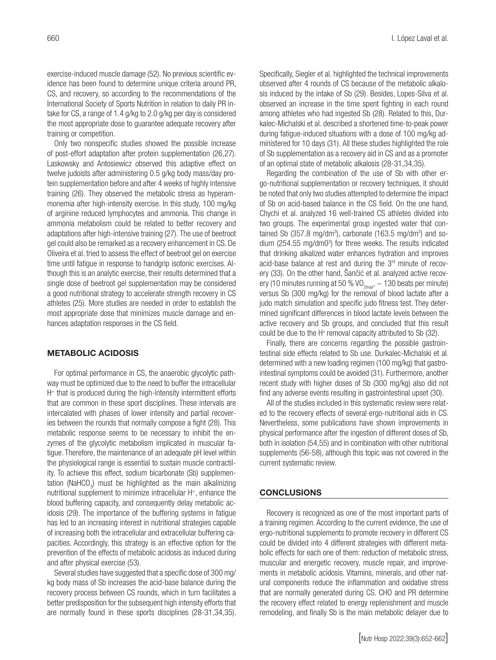exercise-induced muscle damage (52). No previous scientific evidence has been found to determine unique criteria around PR, CS, and recovery, so according to the recommendations of the International Society of Sports Nutrition in relation to daily PR intake for CS, a range of 1.4 g/kg to 2.0 g/kg per day is considered the most appropriate dose to guarantee adequate recovery after training or competition.

Only two nonspecific studies showed the possible increase of post-effort adaptation after protein supplementation (26,27). Laskowsky and Antosiewicz observed this adaptive effect on twelve judoists after administering 0.5 g/kg body mass/day protein supplementation before and after 4 weeks of highly intensive training (26). They observed the metabolic stress as hyperammonemia after high-intensity exercise. In this study, 100 mg/kg of arginine reduced lymphocytes and ammonia. This change in ammonia metabolism could be related to better recovery and adaptations after high-intensive training (27). The use of beetroot gel could also be remarked as a recovery enhancement in CS. De Oliveira et al. tried to assess the effect of beetroot gel on exercise time until fatigue in response to handgrip isotonic exercises. Although this is an analytic exercise, their results determined that a single dose of beetroot gel supplementation may be considered a good nutritional strategy to accelerate strength recovery in CS athletes (25). More studies are needed in order to establish the most appropriate dose that minimizes muscle damage and enhances adaptation responses in the CS field.

#### METABOLIC ACIDOSIS

For optimal performance in CS, the anaerobic glycolytic pathway must be optimized due to the need to buffer the intracellular H<sup>+</sup> that is produced during the high-intensity intermittent efforts that are common in these sport disciplines. These intervals are intercalated with phases of lower intensity and partial recoveries between the rounds that normally compose a fight (28). This metabolic response seems to be necessary to inhibit the enzymes of the glycolytic metabolism implicated in muscular fatigue. Therefore, the maintenance of an adequate pH level within the physiological range is essential to sustain muscle contractility. To achieve this effect, sodium bicarbonate (Sb) supplementation (NaHCO<sub>3</sub>) must be highlighted as the main alkalinizing nutritional supplement to minimize intracellular H<sup>+</sup>, enhance the blood buffering capacity, and consequently delay metabolic acidosis (29). The importance of the buffering systems in fatigue has led to an increasing interest in nutritional strategies capable of increasing both the intracellular and extracellular buffering capacities. Accordingly, this strategy is an effective option for the prevention of the effects of metabolic acidosis as induced during and after physical exercise (53).

Several studies have suggested that a specific dose of 300 mg/ kg body mass of Sb increases the acid-base balance during the recovery process between CS rounds, which in turn facilitates a better predisposition for the subsequent high intensity efforts that are normally found in these sports disciplines (28-31,34,35).

Specifically, Siegler et al. highlighted the technical improvements observed after 4 rounds of CS because of the metabolic alkalosis induced by the intake of Sb (29). Besides, Lopes-Silva et al. observed an increase in the time spent fighting in each round among athletes who had ingested Sb (28). Related to this, Durkalec-Michalski et al. described a shortened time-to-peak power during fatigue-induced situations with a dose of 100 mg/kg administered for 10 days (31). All these studies highlighted the role of Sb supplementation as a recovery aid in CS and as a promoter of an optimal state of metabolic alkalosis (28-31,34,35).

Regarding the combination of the use of Sb with other ergo-nutritional supplementation or recovery techniques, it should be noted that only two studies attempted to determine the impact of Sb on acid-based balance in the CS field. On the one hand, Chychi et al. analyzed 16 well-trained CS athletes divided into two groups. The experimental group ingested water that contained Sb  $(357.8 \text{ mg/dm}^3)$ , carbonate  $(163.5 \text{ mg/dm}^3)$  and sodium (254.55 mg/dm0<sup>3</sup>) for three weeks. The results indicated that drinking alkalized water enhances hydration and improves acid-base balance at rest and during the 3<sup>rd</sup> minute of recovery (33). On the other hand, Šančić et al. analyzed active recovery (10 minutes running at 50 % VO $_{2\text{max}}$ , ~ 130 beats per minute) versus Sb (300 mg/kg) for the removal of blood lactate after a judo match simulation and specific judo fitness test. They determined significant differences in blood lactate levels between the active recovery and Sb groups, and concluded that this result could be due to the H+ removal capacity attributed to Sb (32).

Finally, there are concerns regarding the possible gastrointestinal side effects related to Sb use. Durkalec-Michalski et al. determined with a new loading regimen (100 mg/kg) that gastrointestinal symptoms could be avoided (31). Furthermore, another recent study with higher doses of Sb (300 mg/kg) also did not find any adverse events resulting in gastrointestinal upset (30).

All of the studies included in this systematic review were related to the recovery effects of several ergo-nutritional aids in CS. Nevertheless, some publications have shown improvements in physical performance after the ingestion of different doses of Sb, both in isolation (54,55) and in combination with other nutritional supplements (56-58), although this topic was not covered in the current systematic review.

#### **CONCLUSIONS**

Recovery is recognized as one of the most important parts of a training regimen. According to the current evidence, the use of ergo-nutritional supplements to promote recovery in different CS could be divided into 4 different strategies with different metabolic effects for each one of them: reduction of metabolic stress, muscular and energetic recovery, muscle repair, and improvements in metabolic acidosis. Vitamins, minerals, and other natural components reduce the inflammation and oxidative stress that are normally generated during CS. CHO and PR determine the recovery effect related to energy replenishment and muscle remodeling, and finally Sb is the main metabolic delayer due to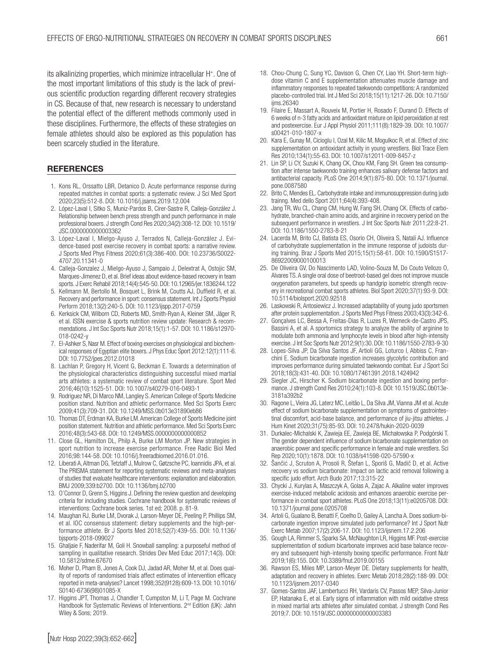its alkalinizing properties, which minimize intracellular H+. One of the most important limitations of this study is the lack of previous scientific production regarding different recovery strategies in CS. Because of that, new research is necessary to understand the potential effect of the different methods commonly used in these disciplines. Furthermore, the effects of these strategies on female athletes should also be explored as this population has been scarcely studied in the literature.

#### REFERENCES

- 1. Kons RL, Orssatto LBR, Detanico D. Acute performance response during repeated matches in combat sports: a systematic review. J Sci Med Sport 2020;23(5):512-8. DOI: 10.1016/j.jsams.2019.12.004
- 2. López-Laval I, Sitko S, Muniz-Pardos B, Cirer-Sastre R, Calleja-González J. Relationship between bench press strength and punch performance in male professional boxers. J strength Cond Res 2020;34(2):308-12. DOI: 10.1519/ JSC.0000000000003362
- 3. López-Laval I, Mielgo-Ayuso J, Terrados N, Calleja-González J. Evidence-based post exercise recovery in combat sports: a narrative review. J Sports Med Phys Fitness 2020;61(3):386-400. DOI: 10.23736/S0022- 4707.20.11341-0
- 4. Calleja-Gonzalez J, Mielgo-Ayuso J, Sampaio J, Delextrat A, Ostojic SM, Marques-Jimenez D, et al. Brief ideas about evidence-based recovery in team sports. J Exerc Rehabil 2018;14(4):545-50. DOI: 10.12965/jer.1836244.122
- 5. Kellmann M, Bertollo M, Bosquet L, Brink M, Coutts AJ, Duffield R, et al. Recovery and performance in sport: consensus statement. Int J Sports Physiol Perform 2018;13(2):240-5. DOI: 10.1123/ijspp.2017-0759
- 6. Kerksick CM, Wilborn CD, Roberts MD, Smith-Ryan A, Kleiner SM, Jäger R, et al. ISSN exercise & sports nutrition review update: Research & recommendations. J Int Soc Sports Nutr 2018;15(1):1-57. DOI: 10.1186/s12970- 018-0242-y
- 7. El-Ashker S, Nasr M. Effect of boxing exercises on physiological and biochemical responses of Egyptian elite boxers. J Phys Educ Sport 2012:12(1):111-6. DOI: 10.7752/jpes.2012.01018
- 8. Lachlan P, Gregory H, Vicent G, Beckman E. Towards a determination of the physiological characteristics distinguishing successful mixed martial arts athletes: a systematic review of combat sport literature. Sport Med 2016;46(10):1525-51. DOI: 10.1007/s40279-016-0493-1
- 9. Rodriguez NR, Di Marco NM, Langley S. American College of Sports Medicine position stand. Nutrition and athletic performance. Med Sci Sports Exerc 2009;41(3):709-31. DOI: 10.1249/MSS.0b013e31890eb86
- 10. Thomas DT, Erdman KA, Burke LM. American College of Sports Medicine joint position statement. Nutrition and athletic performance. Med Sci Sports Exerc 2016;48(3):543-68. DOI: 10.1249/MSS.0000000000000852
- 11. Close GL, Hamilton DL, Philp A, Burke LM Morton JP. New strategies in sport nutrition to increase exercise performance. Free Radic Biol Med 2016;98:144-58. DOI: 10.1016/j.freeradbiomed.2016.01.016.
- 12. Liberati A, Altman DG, Tetzlaff J, Mulrow C, Gøtzsche PC, Ioannidis JPA, et al. The PRISMA statement for reporting systematic reviews and meta-analyses of studies that evaluate healthcare interventions: explanation and elaboration. BMJ 2009;339:b2700. DOI: 10.1136/bmj.b2700
- 13. O'Connor D, Grenn S, Higgins J. Defining the review question and developing criteria for including studies. Cochrane handbook for systematic reviews of interventions: Cochrane book series. 1st ed; 2008. p. 81-9.
- 14. Maughan RJ, Burke LM, Dvorak J, Larson-Meyer DE, Peeling P, Phillips SM, et al. IOC consensus statement: dietary supplements and the high-performance athlete. Br J Sports Med 2018;52(7):439-55. DOI: 10.1136/ bjsports-2018-099027
- 15. Ghaljaie F, Naderifar M, Goli H. Snowball sampling: a purposeful method of sampling in qualitative research. Strides Dev Med Educ 2017;14(3). DOI: 10.5812/sdme.67670
- 16. Moher D, Pham B, Jones A, Cook DJ, Jadad AR, Moher M, et al. Does quality of reports of randomised trials affect estimates of intervention efficacy reported in meta-analyses? Lancet 1998;352(9128):609-13. DOI: 10.1016/ S0140-6736(98)01085-X
- 17. Higgins JPT, Thomas J, Chandler T, Cumpston M, Li T, Page M. Cochrane Handbook for Systematic Reviews of Interventions. 2<sup>nd</sup> Edition (UK): Jahn Wiley & Sons; 2019.
- 18. Chou-Chung C, Sung YC, Davison G, Chen CY, Liao YH. Short-term highdose vitamin C and E supplementation attenuates muscle damage and inflammatory responses to repeated taekwondo competitions: A randomized placebo-controlled trial. Int J Med Sci 2018;15(11):1217-26. DOI: 10.7150/ ijms.26340
- 19. Filaire E, Massart A, Rouveix M, Portier H, Rosado F, Durand D. Effects of 6 weeks of n-3 fatty acids and antioxidant mixture on lipid peroxidation at rest and postexercise. Eur J Appl Physiol 2011;111(8):1829-39. DOI: 10.1007/ s00421-010-1807-x
- 20. Kara E, Gunay M, Cicioglu I, Ozal M, Kilic M, Mogulkoc R, et al. Effect of zinc supplementation on antioxidant activity in young wrestlers. Biol Trace Elem Res 2010;134(1):55-63. DOI: 10.1007/s12011-009-8457-z
- 21. Lin SP, Li CY, Suzuki K, Chang CK, Chou KM, Fang SH. Green tea consumption after intense taekwondo training enhances salivary defense factors and antibacterial capacity. PLoS One 2014;9(1):875-80. DOI: 10.1371/journal. pone.0087580
- 22. Brito C, Mendes EL. Carbohydrate intake and immunosuppression during judo trainng. Med dello Sport 2011;64(4):393-408.
- 23. Jang TR, Wu CL, Chang CM, Hung W, Fang SH, Chang CK. Effects of carbohydrate, branched-chain amino acids, and arginine in recovery period on the subsequent performance in wrestlers. J Int Soc Sports Nutr 2011;22:8-21. DOI: 10.1186/1550-2783-8-21
- 24. Lacerda M, Brito CJ, Batista ES, Osorio CH, Oliveira S, Natalí AJ. Influence of carbohydrate supplementation in the immune response of judoists during training. Braz J Sports Med 2015;15(1):58-61. DOI: 10.1590/S1517- 86922009000100013
- 25. De Oliveira GV, Do Nascimento LAD, Volino-Souza M, Do Couto Vellozo O, Alvares TS. A single oral dose of beetroot-based gel does not improve muscle oxygenation parameters, but speeds up handgrip isometric strength recovery in recreational combat sports athletes. Biol Sport 2020;37(1):93-9. DOI: 10.5114/biolsport.2020.92518
- 26. Laskowski R, Antosiewicz J. Increased adaptability of young judo sportsmen after protein supplementation. J Sports Med Phys Fitness 2003;43(3):342-6.
- 27. Gonçalves LC, Bessa A, Freitas-Dias R, Luzes R, Werneck-de-Castro JPS, Bassini A, et al. A sportomics strategy to analyze the ability of arginine to modulate both ammonia and lymphocyte levels in blood after high-intensity exercise. J Int Soc Sports Nutr 2012;9(1):30. DOI: 10.1186/1550-2783-9-30
- 28. Lopes-Silva JP, Da Silva Santos JF, Artioli GG, Loturco I, Abbiss C, Franchini E. Sodium bicarbonate ingestion increases glycolytic contribution and improves performance during simulated taekwondo combat. Eur J Sport Sci 2018;18(3):431-40. DOI: 10.1080/17461391.2018.1424942
- 29. Siegler JC, Hirscher K. Sodium bicarbonate ingestion and boxing performance. J strength Cond Res 2010;24(1):103-8. DOI: 10.1519/JSC.0b013e-3181a392b2
- 30. Ragone L, Vieira JG, Laterz MC, Leitão L, Da Silva JM, Vianna JM et al. Acute effect of sodium bicarbonate supplementation on symptoms of gastrointestinal discomfort, acid-base balance, and performance of jiu-jitsu athletes. J Hum Kinet 2020;31(75):85-93. DOI: 10.2478/hukin-2020-0039
- 31. Durkalec-Michalski K, Zawieja EE, Zawieja BE, Michałowska P, Podgórski T. The gender dependent influence of sodium bicarbonate supplementation on anaerobic power and specific performance in female and male wrestlers. Sci Rep 2020;10(1):1878. DOI: 10.1038/s41598-020-57590-x
- 32. Šančić J, Scruton A, Prosoli R, Štefan L, Sporiš G, Madič D, et al. Active recovery vs sodium bicarbonate: Impact on lactic acid removal following a specific judo effort. Arch Budo 2017;13:315-22
- 33. Chycki J, Kurylas A, Maszczyk A, Golas A, Zajac A. Alkaline water improves exercise-induced metabolic acidosis and enhances anaerobic exercise performance in combat sport athletes. PLoS One 2018;13(11):e0205708. DOI: 10.1371/journal.pone.0205708
- 34. Artoli G, Gualano B, Benatti F, Coelho D, Gailey A, Lancha A. Does sodium-bicarbonate ingestion improve simulated judo performance? Int J Sport Nutr Exerc Metab 2007;17(2):206-17. DOI: 10.1123/ijsnem.17.2.206
- 35. Gough LA, Rimmer S, Sparks SA, McNaughton LR, Higgins MF. Post-exercise supplementation of sodium bicarbonate improves acid base balance recovery and subsequent high-intensity boxing specific performance. Front Nutr 2019;1(6):155. DOI: 10.3389/fnut.2019.00155
- 36. Rawson ES, Miles MP, Larson-Meyer DE. Dietary supplements for health, adaptation and recovery in athletes. Exerc Metab 2018;28(2):188-99. DOI: 10.1123/ijsnem.2017-0340
- 37. Gomes-Santos JAF, Lambertucci RH, Vardaris CV, Passos MEP, Silva-Junior EP, Hatanaka E, et al. Early signs of inflammation with mild oxidative stress in mixed martial arts athletes after simulated combat. J strength Cond Res 2019;7. DOI: 10.1519/JSC.00000000000003383